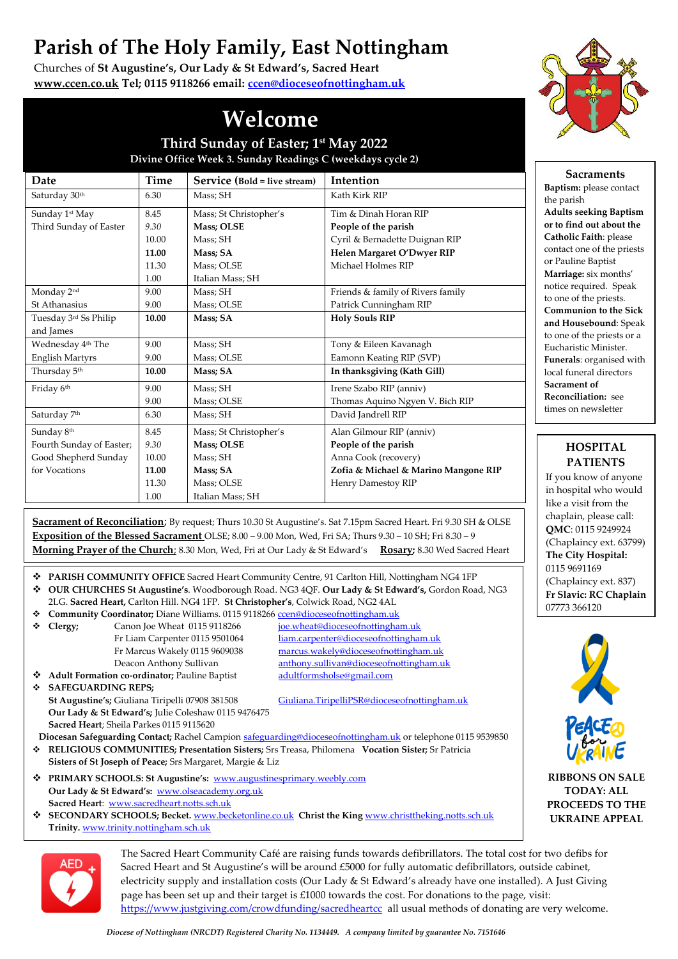## **Parish of The Holy Family, East Nottingham**

Churches of **St Augustine's, Our Lady & St Edward's, Sacred Heart [www.ccen.co.uk](http://www.ccen.co.uk/) Tel; 0115 9118266 email: [ccen@dioceseofnottingham.uk](mailto:ccen@dioceseofnottingham.uk)**



**Sacraments Baptism:** please contact

**Adults seeking Baptism or to find out about the Catholic Faith**: please contact one of the priests or Pauline Baptist **Marriage:** six months' notice required. Speak to one of the priests. **Communion to the Sick and Housebound**: Speak to one of the priests or a Eucharistic Minister. **Funerals**: organised with local funeral directors **Sacrament of Reconciliation:** see times on newsletter

the parish

## **Welcome**

**Third Sunday of Easter; 1 st May 2022 Divine Office Week 3. Sunday Readings C (weekdays cycle 2)**

| Date                          | Time  | Service (Bold = live stream) | Intention                            |
|-------------------------------|-------|------------------------------|--------------------------------------|
| Saturday 30th                 | 6.30  | Mass; SH                     | Kath Kirk RIP                        |
| Sunday 1st May                | 8.45  | Mass; St Christopher's       | Tim & Dinah Horan RIP                |
| Third Sunday of Easter        | 9.30  | Mass; OLSE                   | People of the parish                 |
|                               | 10.00 | Mass; SH                     | Cyril & Bernadette Duignan RIP       |
|                               | 11.00 | Mass: SA                     | Helen Margaret O'Dwyer RIP           |
|                               | 11.30 | Mass; OLSE                   | Michael Holmes RIP                   |
|                               | 1.00  | Italian Mass; SH             |                                      |
| Monday 2 <sup>nd</sup>        | 9.00  | Mass; SH                     | Friends & family of Rivers family    |
| St Athanasius                 | 9.00  | Mass; OLSE                   | Patrick Cunningham RIP               |
| Tuesday 3rd Ss Philip         | 10.00 | Mass: SA                     | <b>Holy Souls RIP</b>                |
| and James                     |       |                              |                                      |
| Wednesday 4 <sup>th</sup> The | 9.00  | Mass; SH                     | Tony & Eileen Kavanagh               |
| <b>English Martyrs</b>        | 9.00  | Mass; OLSE                   | Eamonn Keating RIP (SVP)             |
| Thursday 5th                  | 10.00 | Mass; SA                     | In thanksgiving (Kath Gill)          |
| Friday 6 <sup>th</sup>        | 9.00  | Mass; SH                     | Irene Szabo RIP (anniv)              |
|                               | 9.00  | Mass; OLSE                   | Thomas Aquino Ngyen V. Bich RIP      |
| Saturday 7th                  | 6.30  | Mass; SH                     | David Jandrell RIP                   |
| Sunday 8th                    | 8.45  | Mass; St Christopher's       | Alan Gilmour RIP (anniv)             |
| Fourth Sunday of Easter;      | 9.30  | Mass; OLSE                   | People of the parish                 |
| Good Shepherd Sunday          | 10.00 | Mass; SH                     | Anna Cook (recovery)                 |
| for Vocations                 | 11.00 | Mass: SA                     | Zofia & Michael & Marino Mangone RIP |
|                               | 11.30 | Mass; OLSE                   | Henry Damestoy RIP                   |
|                               | 1.00  | Italian Mass; SH             |                                      |

**Sacrament of Reconciliation**; By request; Thurs 10.30 St Augustine's. Sat 7.15pm Sacred Heart. Fri 9.30 SH & OLSE **Exposition of the Blessed Sacrament** OLSE; 8.00 – 9.00 Mon, Wed, Fri SA; Thurs 9.30 – 10 SH; Fri 8.30 – 9 **Morning Prayer of the Church**; 8.30 Mon, Wed, Fri at Our Lady & St Edward's **Rosary;** 8.30 Wed Sacred Heart

- ❖ **PARISH COMMUNITY OFFICE** Sacred Heart Community Centre, 91 Carlton Hill, Nottingham NG4 1FP ❖ **OUR CHURCHES St Augustine's**. Woodborough Road. NG3 4QF. **Our Lady & St Edward's,** Gordon Road, NG3
- 2LG. **Sacred Heart,** Carlton Hill. NG4 1FP. **St Christopher's**, Colwick Road, NG2 4AL
- ❖ **Community Coordinator;** Diane Williams. 0115 9118266 [ccen@dioceseofnottingham.uk](mailto:ccen@dioceseofnottingham.uk)
- ❖ **Clergy;** Canon Joe Wheat 0115 9118266 [joe.wheat@dioceseofnottingham.uk](mailto:joe.wheat@dioceseofnottingham.uk)

Fr Liam Carpenter 0115 9501064 liam.carpenter@dioceseofnottingham.uk Fr Marcus Wakely 0115 9609038 [marcus.wakely@dioceseofnottingham.uk](mailto:marcus.wakely@dioceseofnottingham.uk) Deacon Anthony Sullivan [anthony.sullivan@dioceseofnottingham.uk](mailto:anthony.sullivan@dioceseofnottingham.uk)

◆ **Adult Formation co-ordinator;** Pauline Baptist [adultformsholse@gmail.com](mailto:adultformsholse@gmail.com) ❖ **SAFEGUARDING REPS; Our Lady & St Edward's;** Julie Coleshaw 0115 9476475 **Sacred Heart**; Sheila Parkes 0115 9115620

**St Augustine's;** Giuliana Tiripelli 07908 381508 [Giuliana.TiripelliPSR@dioceseofnottingham.uk](mailto:Giuliana.TiripelliPSR@dioceseofnottingham.uk) 

- **Diocesan Safeguarding Contact;** Rachel Campion [safeguarding@dioceseofnottingham.uk](mailto:safeguarding@dioceseofnottingham.uk) or telephone 0115 9539850
- ❖ **RELIGIOUS COMMUNITIES; Presentation Sisters;** Srs Treasa, Philomena **Vocation Sister;** Sr Patricia **Sisters of St Joseph of Peace;** Srs Margaret, Margie & Liz
- ❖ **PRIMARY SCHOOLS: St Augustine's:** [www.augustinesprimary.weebly.com](http://www.augustinesprimary.weebly.com/)  **Our Lady & St Edward's:** [www.olseacademy.org.uk](http://www.olseacademy.org.uk/) **Sacred Heart**: [www.sacredheart.notts.sch.uk](http://www.sacredheart.notts.sch.uk/)
- ❖ **SECONDARY SCHOOLS; Becket.** [www.becketonline.co.uk](http://www.becketonline.co.uk/) **Christ the King** [www.christtheking.notts.sch.uk](http://www.christtheking.notts.sch.uk/)  **Trinity.** [www.trinity.nottingham.sch.uk](http://www.trinity.nottingham.sch.uk/)



The Sacred Heart Community Café are raising funds towards defibrillators. The total cost for two defibs for Sacred Heart and St Augustine's will be around £5000 for fully automatic defibrillators, outside cabinet, electricity supply and installation costs (Our Lady & St Edward's already have one installed). A Just Giving page has been set up and their target is £1000 towards the cost. For donations to the page, visit: <https://www.justgiving.com/crowdfunding/sacredheartcc> all usual methods of donating are very welcome.

## **PATIENTS** If you know of anyone

in hospital who would like a visit from the chaplain, please call: **QMC**: 0115 9249924 (Chaplaincy ext. 63799) **The City Hospital:** 0115 9691169 (Chaplaincy ext. 837) **Fr Slavic: RC Chaplain** 07773 366120

**HOSPITAL** 



**RIBBONS ON SALE TODAY: ALL PROCEEDS TO THE UKRAINE APPEAL**